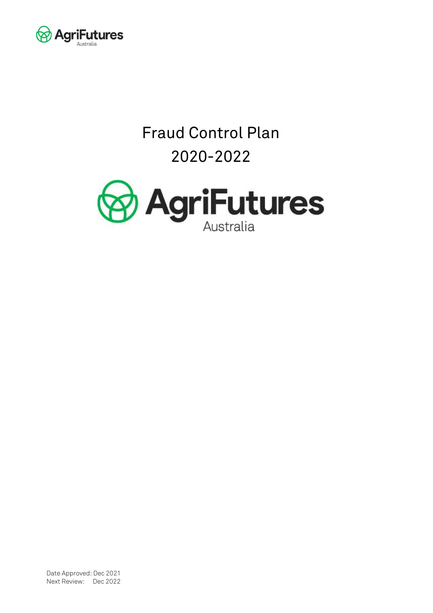

# Fraud Control Plan 2020-2022



Date Approved: Dec 2021 Next Review: Dec 2022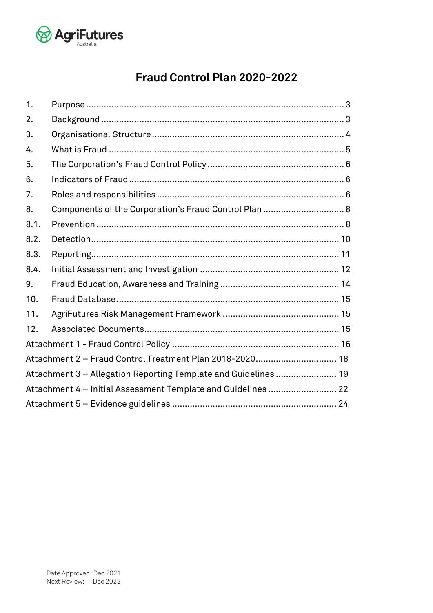

# **Fraud Control Plan 2020-2022**

| 1.   |                                                                 |  |  |  |  |
|------|-----------------------------------------------------------------|--|--|--|--|
| 2.   |                                                                 |  |  |  |  |
| 3.   |                                                                 |  |  |  |  |
| 4.   |                                                                 |  |  |  |  |
| 5.   |                                                                 |  |  |  |  |
| 6.   |                                                                 |  |  |  |  |
| 7.   |                                                                 |  |  |  |  |
| 8.   | Components of the Corporation's Fraud Control Plan  8           |  |  |  |  |
| 8.1. |                                                                 |  |  |  |  |
| 8.2. |                                                                 |  |  |  |  |
| 8.3. |                                                                 |  |  |  |  |
| 8.4. |                                                                 |  |  |  |  |
| 9.   |                                                                 |  |  |  |  |
| 10.  |                                                                 |  |  |  |  |
| 11.  |                                                                 |  |  |  |  |
| 12.  |                                                                 |  |  |  |  |
|      |                                                                 |  |  |  |  |
|      | Attachment 2 - Fraud Control Treatment Plan 2018-2020 18        |  |  |  |  |
|      | Attachment 3 - Allegation Reporting Template and Guidelines  19 |  |  |  |  |
|      | Attachment 4 - Initial Assessment Template and Guidelines  22   |  |  |  |  |
|      |                                                                 |  |  |  |  |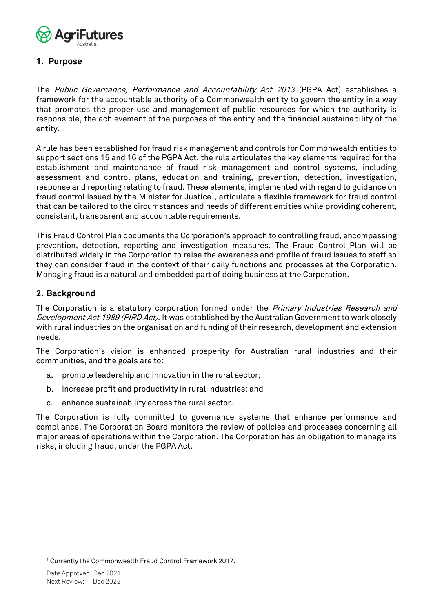

#### <span id="page-2-0"></span>**1. Purpose**

The Public Governance, Performance and Accountability Act 2013 (PGPA Act) establishes a framework for the accountable authority of a Commonwealth entity to govern the entity in a way that promotes the proper use and management of public resources for which the authority is responsible, the achievement of the purposes of the entity and the financial sustainability of the entity.

A rule has been established for fraud risk management and controls for Commonwealth entities to support sections 15 and 16 of the PGPA Act, the rule articulates the key elements required for the establishment and maintenance of fraud risk management and control systems, including assessment and control plans, education and training, prevention, detection, investigation, response and reporting relating to fraud. These elements, implemented with regard to guidance on fraud control issued by the Minister for Justice<sup>1</sup>, articulate a flexible framework for fraud control that can be tailored to the circumstances and needs of different entities while providing coherent, consistent, transparent and accountable requirements.

This Fraud Control Plan documents the Corporation's approach to controlling fraud, encompassing prevention, detection, reporting and investigation measures. The Fraud Control Plan will be distributed widely in the Corporation to raise the awareness and profile of fraud issues to staff so they can consider fraud in the context of their daily functions and processes at the Corporation. Managing fraud is a natural and embedded part of doing business at the Corporation.

#### <span id="page-2-1"></span>**2. Background**

The Corporation is a statutory corporation formed under the *Primary Industries Research and* Development Act 1989 (PIRD Act). It was established by the Australian Government to work closely with rural industries on the organisation and funding of their research, development and extension needs.

The Corporation's vision is enhanced prosperity for Australian rural industries and their communities, and the goals are to:

- a. promote leadership and innovation in the rural sector;
- b. increase profit and productivity in rural industries; and
- c. enhance sustainability across the rural sector.

The Corporation is fully committed to governance systems that enhance performance and compliance. The Corporation Board monitors the review of policies and processes concerning all major areas of operations within the Corporation. The Corporation has an obligation to manage its risks, including fraud, under the PGPA Act.

<sup>1</sup> Currently the Commonwealth Fraud Control Framework 2017.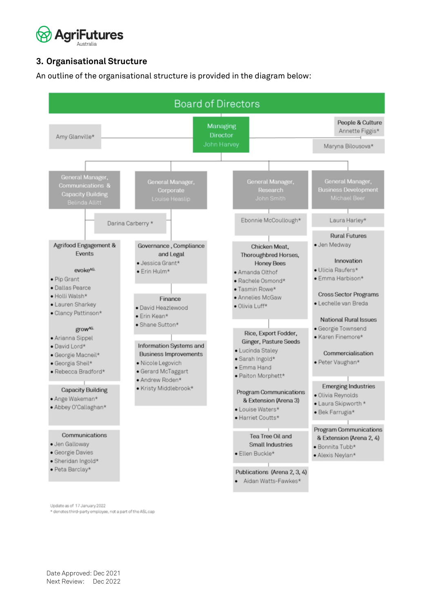

### <span id="page-3-0"></span>**3. Organisational Structure**

An outline of the organisational structure is provided in the diagram below:



\* denotes third-party employee, not a part of the ASL cap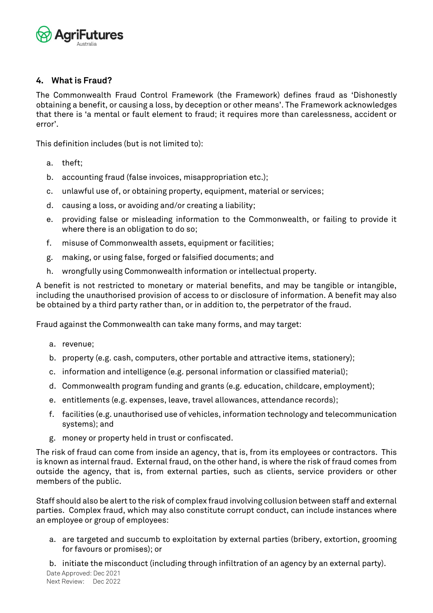

#### <span id="page-4-0"></span>**4. What is Fraud?**

The Commonwealth Fraud Control Framework (the Framework) defines fraud as 'Dishonestly obtaining a benefit, or causing a loss, by deception or other means'. The Framework acknowledges that there is 'a mental or fault element to fraud; it requires more than carelessness, accident or error'.

This definition includes (but is not limited to):

- a. theft;
- b. accounting fraud (false invoices, misappropriation etc.);
- c. unlawful use of, or obtaining property, equipment, material or services;
- d. causing a loss, or avoiding and/or creating a liability;
- e. providing false or misleading information to the Commonwealth, or failing to provide it where there is an obligation to do so;
- f. misuse of Commonwealth assets, equipment or facilities;
- g. making, or using false, forged or falsified documents; and
- h. wrongfully using Commonwealth information or intellectual property.

A benefit is not restricted to monetary or material benefits, and may be tangible or intangible, including the unauthorised provision of access to or disclosure of information. A benefit may also be obtained by a third party rather than, or in addition to, the perpetrator of the fraud.

Fraud against the Commonwealth can take many forms, and may target:

- a. revenue;
- b. property (e.g. cash, computers, other portable and attractive items, stationery);
- c. information and intelligence (e.g. personal information or classified material);
- d. Commonwealth program funding and grants (e.g. education, childcare, employment);
- e. entitlements (e.g. expenses, leave, travel allowances, attendance records);
- f. facilities (e.g. unauthorised use of vehicles, information technology and telecommunication systems); and
- g. money or property held in trust or confiscated.

The risk of fraud can come from inside an agency, that is, from its employees or contractors. This is known as internal fraud. External fraud, on the other hand, is where the risk of fraud comes from outside the agency, that is, from external parties, such as clients, service providers or other members of the public.

Staff should also be alert to the risk of complex fraud involving collusion between staff and external parties. Complex fraud, which may also constitute corrupt conduct, can include instances where an employee or group of employees:

a. are targeted and succumb to exploitation by external parties (bribery, extortion, grooming for favours or promises); or

b. initiate the misconduct (including through infiltration of an agency by an external party).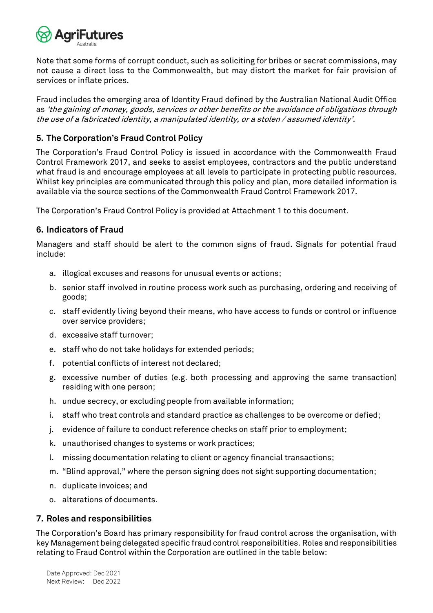

Note that some forms of corrupt conduct, such as soliciting for bribes or secret commissions, may not cause a direct loss to the Commonwealth, but may distort the market for fair provision of services or inflate prices.

Fraud includes the emerging area of Identity Fraud defined by the Australian National Audit Office as 'the gaining of money, goods, services or other benefits or the avoidance of obligations through the use of a fabricated identity, a manipulated identity, or a stolen / assumed identity'.

#### <span id="page-5-0"></span>**5. The Corporation's Fraud Control Policy**

The Corporation's Fraud Control Policy is issued in accordance with the Commonwealth Fraud Control Framework 2017, and seeks to assist employees, contractors and the public understand what fraud is and encourage employees at all levels to participate in protecting public resources. Whilst key principles are communicated through this policy and plan, more detailed information is available via the source sections of the Commonwealth Fraud Control Framework 2017.

The Corporation's Fraud Control Policy is provided at Attachment 1 to this document.

#### <span id="page-5-1"></span>**6. Indicators of Fraud**

Managers and staff should be alert to the common signs of fraud. Signals for potential fraud include:

- a. illogical excuses and reasons for unusual events or actions;
- b. senior staff involved in routine process work such as purchasing, ordering and receiving of goods;
- c. staff evidently living beyond their means, who have access to funds or control or influence over service providers;
- d. excessive staff turnover;
- e. staff who do not take holidays for extended periods;
- f. potential conflicts of interest not declared;
- g. excessive number of duties (e.g. both processing and approving the same transaction) residing with one person;
- h. undue secrecy, or excluding people from available information;
- i. staff who treat controls and standard practice as challenges to be overcome or defied;
- j. evidence of failure to conduct reference checks on staff prior to employment;
- k. unauthorised changes to systems or work practices;
- l. missing documentation relating to client or agency financial transactions;
- m. "Blind approval," where the person signing does not sight supporting documentation;
- n. duplicate invoices; and
- o. alterations of documents.

#### <span id="page-5-2"></span>**7. Roles and responsibilities**

The Corporation's Board has primary responsibility for fraud control across the organisation, with key Management being delegated specific fraud control responsibilities. Roles and responsibilities relating to Fraud Control within the Corporation are outlined in the table below: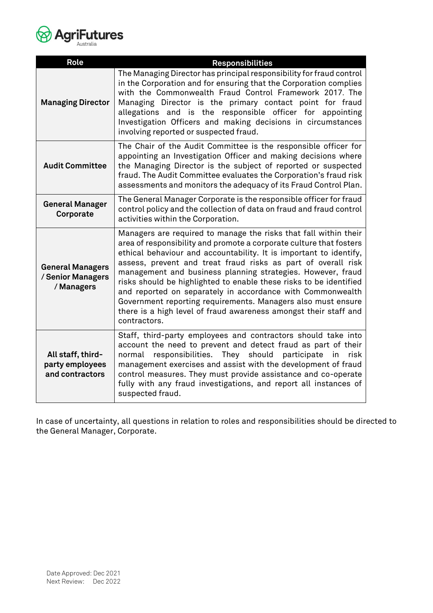

| <b>Role</b>                                                | <b>Responsibilities</b>                                                                                                                                                                                                                                                                                                                                                                                                                                                                                                                                                                                                               |
|------------------------------------------------------------|---------------------------------------------------------------------------------------------------------------------------------------------------------------------------------------------------------------------------------------------------------------------------------------------------------------------------------------------------------------------------------------------------------------------------------------------------------------------------------------------------------------------------------------------------------------------------------------------------------------------------------------|
| <b>Managing Director</b>                                   | The Managing Director has principal responsibility for fraud control<br>in the Corporation and for ensuring that the Corporation complies<br>with the Commonwealth Fraud Control Framework 2017. The<br>Managing Director is the primary contact point for fraud<br>allegations and is the responsible officer for appointing<br>Investigation Officers and making decisions in circumstances<br>involving reported or suspected fraud.                                                                                                                                                                                               |
| <b>Audit Committee</b>                                     | The Chair of the Audit Committee is the responsible officer for<br>appointing an Investigation Officer and making decisions where<br>the Managing Director is the subject of reported or suspected<br>fraud. The Audit Committee evaluates the Corporation's fraud risk<br>assessments and monitors the adequacy of its Fraud Control Plan.                                                                                                                                                                                                                                                                                           |
| <b>General Manager</b><br>Corporate                        | The General Manager Corporate is the responsible officer for fraud<br>control policy and the collection of data on fraud and fraud control<br>activities within the Corporation.                                                                                                                                                                                                                                                                                                                                                                                                                                                      |
| <b>General Managers</b><br>/ Senior Managers<br>/ Managers | Managers are required to manage the risks that fall within their<br>area of responsibility and promote a corporate culture that fosters<br>ethical behaviour and accountability. It is important to identify,<br>assess, prevent and treat fraud risks as part of overall risk<br>management and business planning strategies. However, fraud<br>risks should be highlighted to enable these risks to be identified<br>and reported on separately in accordance with Commonwealth<br>Government reporting requirements. Managers also must ensure<br>there is a high level of fraud awareness amongst their staff and<br>contractors. |
| All staff, third-<br>party employees<br>and contractors    | Staff, third-party employees and contractors should take into<br>account the need to prevent and detect fraud as part of their<br>normal<br>responsibilities.<br>should<br>They<br>participate<br>risk<br>in<br>management exercises and assist with the development of fraud<br>control measures. They must provide assistance and co-operate<br>fully with any fraud investigations, and report all instances of<br>suspected fraud.                                                                                                                                                                                                |

In case of uncertainty, all questions in relation to roles and responsibilities should be directed to the General Manager, Corporate.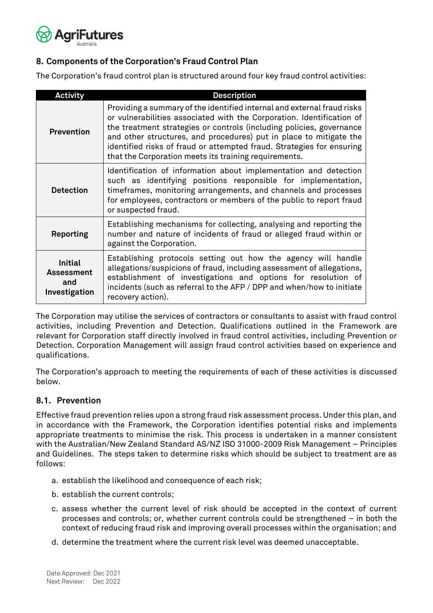

#### <span id="page-7-0"></span>**8. Components of the Corporation's Fraud Control Plan**

The Corporation's fraud control plan is structured around four key fraud control activities:

| <b>Activity</b>                                             | <b>Description</b>                                                                                                                                                                                                                                                                                                                                                                                                               |
|-------------------------------------------------------------|----------------------------------------------------------------------------------------------------------------------------------------------------------------------------------------------------------------------------------------------------------------------------------------------------------------------------------------------------------------------------------------------------------------------------------|
| Prevention                                                  | Providing a summary of the identified internal and external fraud risks<br>or vulnerabilities associated with the Corporation. Identification of<br>the treatment strategies or controls (including policies, governance<br>and other structures, and procedures) put in place to mitigate the<br>identified risks of fraud or attempted fraud. Strategies for ensuring<br>that the Corporation meets its training requirements. |
| <b>Detection</b>                                            | Identification of information about implementation and detection<br>such as identifying positions responsible for implementation,<br>timeframes, monitoring arrangements, and channels and processes<br>for employees, contractors or members of the public to report fraud<br>or suspected fraud.                                                                                                                               |
| Reporting                                                   | Establishing mechanisms for collecting, analysing and reporting the<br>number and nature of incidents of fraud or alleged fraud within or<br>against the Corporation.                                                                                                                                                                                                                                                            |
| <b>Initial</b><br><b>Assessment</b><br>and<br>Investigation | Establishing protocols setting out how the agency will handle<br>allegations/suspicions of fraud, including assessment of allegations,<br>establishment of investigations and options for resolution of<br>incidents (such as referral to the AFP / DPP and when/how to initiate<br>recovery action).                                                                                                                            |

The Corporation may utilise the services of contractors or consultants to assist with fraud control activities, including Prevention and Detection. Qualifications outlined in the Framework are relevant for Corporation staff directly involved in fraud control activities, including Prevention or Detection. Corporation Management will assign fraud control activities based on experience and qualifications.

The Corporation's approach to meeting the requirements of each of these activities is discussed below.

#### <span id="page-7-1"></span>**8.1. Prevention**

Effective fraud prevention relies upon a strong fraud risk assessment process. Under this plan, and in accordance with the Framework, the Corporation identifies potential risks and implements appropriate treatments to minimise the risk. This process is undertaken in a manner consistent with the Australian/New Zealand Standard AS/NZ ISO 31000-2009 Risk Management – Principles and Guidelines. The steps taken to determine risks which should be subject to treatment are as follows:

- a. establish the likelihood and consequence of each risk;
- b. establish the current controls;
- c. assess whether the current level of risk should be accepted in the context of current processes and controls; or, whether current controls could be strengthened – in both the context of reducing fraud risk and improving overall processes within the organisation; and
- d. determine the treatment where the current risk level was deemed unacceptable.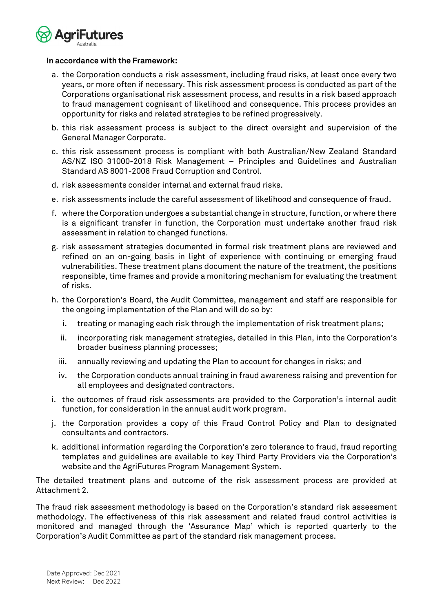

#### **In accordance with the Framework:**

- a. the Corporation conducts a risk assessment, including fraud risks, at least once every two years, or more often if necessary. This risk assessment process is conducted as part of the Corporations organisational risk assessment process, and results in a risk based approach to fraud management cognisant of likelihood and consequence. This process provides an opportunity for risks and related strategies to be refined progressively.
- b. this risk assessment process is subject to the direct oversight and supervision of the General Manager Corporate.
- c. this risk assessment process is compliant with both Australian/New Zealand Standard AS/NZ ISO 31000-2018 Risk Management – Principles and Guidelines and Australian Standard AS 8001-2008 Fraud Corruption and Control.
- d. risk assessments consider internal and external fraud risks.
- e. risk assessments include the careful assessment of likelihood and consequence of fraud.
- f. where the Corporation undergoes a substantial change in structure, function, or where there is a significant transfer in function, the Corporation must undertake another fraud risk assessment in relation to changed functions.
- g. risk assessment strategies documented in formal risk treatment plans are reviewed and refined on an on-going basis in light of experience with continuing or emerging fraud vulnerabilities. These treatment plans document the nature of the treatment, the positions responsible, time frames and provide a monitoring mechanism for evaluating the treatment of risks.
- h. the Corporation's Board, the Audit Committee, management and staff are responsible for the ongoing implementation of the Plan and will do so by:
	- i. treating or managing each risk through the implementation of risk treatment plans;
	- ii. incorporating risk management strategies, detailed in this Plan, into the Corporation's broader business planning processes;
	- iii. annually reviewing and updating the Plan to account for changes in risks; and
	- iv. the Corporation conducts annual training in fraud awareness raising and prevention for all employees and designated contractors.
- i. the outcomes of fraud risk assessments are provided to the Corporation's internal audit function, for consideration in the annual audit work program.
- j. the Corporation provides a copy of this Fraud Control Policy and Plan to designated consultants and contractors.
- k. additional information regarding the Corporation's zero tolerance to fraud, fraud reporting templates and guidelines are available to key Third Party Providers via the Corporation's website and the AgriFutures Program Management System.

The detailed treatment plans and outcome of the risk assessment process are provided at Attachment 2.

The fraud risk assessment methodology is based on the Corporation's standard risk assessment methodology. The effectiveness of this risk assessment and related fraud control activities is monitored and managed through the 'Assurance Map' which is reported quarterly to the Corporation's Audit Committee as part of the standard risk management process.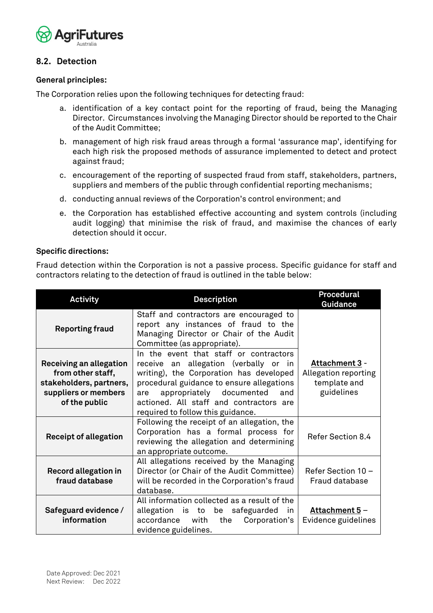

#### <span id="page-9-0"></span>**8.2. Detection**

#### **General principles:**

The Corporation relies upon the following techniques for detecting fraud:

- a. identification of a key contact point for the reporting of fraud, being the Managing Director. Circumstances involving the Managing Director should be reported to the Chair of the Audit Committee;
- b. management of high risk fraud areas through a formal 'assurance map', identifying for each high risk the proposed methods of assurance implemented to detect and protect against fraud;
- c. encouragement of the reporting of suspected fraud from staff, stakeholders, partners, suppliers and members of the public through confidential reporting mechanisms;
- d. conducting annual reviews of the Corporation's control environment; and
- e. the Corporation has established effective accounting and system controls (including audit logging) that minimise the risk of fraud, and maximise the chances of early detection should it occur.

#### **Specific directions:**

Fraud detection within the Corporation is not a passive process. Specific guidance for staff and contractors relating to the detection of fraud is outlined in the table below:

| <b>Activity</b>                                                                                                  | <b>Description</b>                                                                                                                                                                                                                                                                             | <b>Procedural</b><br><b>Guidance</b>                                 |  |
|------------------------------------------------------------------------------------------------------------------|------------------------------------------------------------------------------------------------------------------------------------------------------------------------------------------------------------------------------------------------------------------------------------------------|----------------------------------------------------------------------|--|
| <b>Reporting fraud</b>                                                                                           | Staff and contractors are encouraged to<br>report any instances of fraud to the<br>Managing Director or Chair of the Audit<br>Committee (as appropriate).                                                                                                                                      |                                                                      |  |
| Receiving an allegation<br>from other staff,<br>stakeholders, partners,<br>suppliers or members<br>of the public | In the event that staff or contractors<br>receive an allegation (verbally or in<br>writing), the Corporation has developed<br>procedural guidance to ensure allegations<br>appropriately documented and<br>are<br>actioned. All staff and contractors are<br>required to follow this guidance. | Attachment 3 -<br>Allegation reporting<br>template and<br>guidelines |  |
| <b>Receipt of allegation</b>                                                                                     | Following the receipt of an allegation, the<br>Corporation has a formal process for<br>reviewing the allegation and determining<br>an appropriate outcome.                                                                                                                                     | Refer Section 8.4                                                    |  |
| <b>Record allegation in</b><br>fraud database                                                                    | All allegations received by the Managing<br>Director (or Chair of the Audit Committee)<br>will be recorded in the Corporation's fraud<br>database.                                                                                                                                             | Refer Section 10 -<br>Fraud database                                 |  |
| Safeguard evidence /<br>information                                                                              | All information collected as a result of the<br>allegation is to be safeguarded<br>in<br>accordance<br>Corporation's<br>with<br>the<br>evidence guidelines.                                                                                                                                    | Attachment 5 -<br>Evidence guidelines                                |  |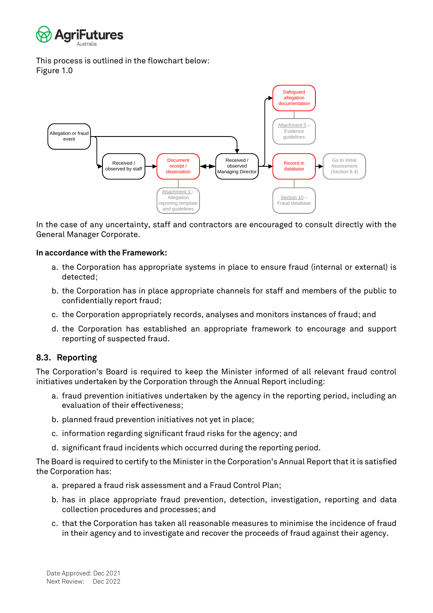

This process is outlined in the flowchart below: Figure 1.0



In the case of any uncertainty, staff and contractors are encouraged to consult directly with the General Manager Corporate.

#### **In accordance with the Framework:**

- a. the Corporation has appropriate systems in place to ensure fraud (internal or external) is detected;
- b. the Corporation has in place appropriate channels for staff and members of the public to confidentially report fraud;
- c. the Corporation appropriately records, analyses and monitors instances of fraud; and
- d. the Corporation has established an appropriate framework to encourage and support reporting of suspected fraud.

#### <span id="page-10-0"></span>**8.3. Reporting**

The Corporation's Board is required to keep the Minister informed of all relevant fraud control initiatives undertaken by the Corporation through the Annual Report including:

- a. fraud prevention initiatives undertaken by the agency in the reporting period, including an evaluation of their effectiveness;
- b. planned fraud prevention initiatives not yet in place;
- c. information regarding significant fraud risks for the agency; and
- d. significant fraud incidents which occurred during the reporting period.

The Board is required to certify to the Minister in the Corporation's Annual Report that it is satisfied the Corporation has:

- a. prepared a fraud risk assessment and a Fraud Control Plan;
- b. has in place appropriate fraud prevention, detection, investigation, reporting and data collection procedures and processes; and
- c. that the Corporation has taken all reasonable measures to minimise the incidence of fraud in their agency and to investigate and recover the proceeds of fraud against their agency.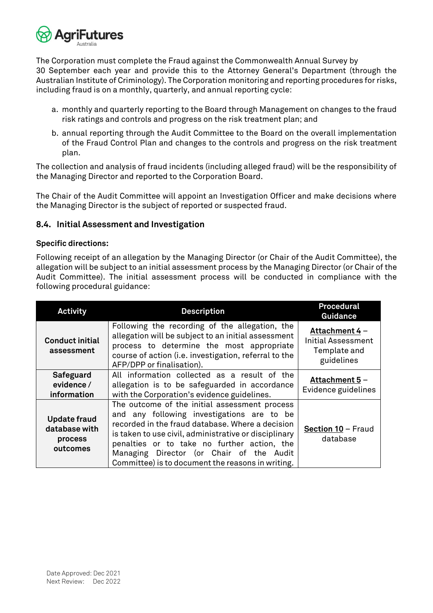

The Corporation must complete the Fraud against the Commonwealth Annual Survey by 30 September each year and provide this to the Attorney General's Department (through the Australian Institute of Criminology). The Corporation monitoring and reporting procedures for risks, including fraud is on a monthly, quarterly, and annual reporting cycle:

- a. monthly and quarterly reporting to the Board through Management on changes to the fraud risk ratings and controls and progress on the risk treatment plan; and
- b. annual reporting through the Audit Committee to the Board on the overall implementation of the Fraud Control Plan and changes to the controls and progress on the risk treatment plan.

The collection and analysis of fraud incidents (including alleged fraud) will be the responsibility of the Managing Director and reported to the Corporation Board.

The Chair of the Audit Committee will appoint an Investigation Officer and make decisions where the Managing Director is the subject of reported or suspected fraud.

#### <span id="page-11-0"></span>**8.4. Initial Assessment and Investigation**

#### **Specific directions:**

Following receipt of an allegation by the Managing Director (or Chair of the Audit Committee), the allegation will be subject to an initial assessment process by the Managing Director (or Chair of the Audit Committee). The initial assessment process will be conducted in compliance with the following procedural guidance:

| <b>Activity</b>                                             | <b>Description</b>                                                                                                                                                                                                                                                                                                                                       | <b>Procedural</b><br><b>Guidance</b>                                      |
|-------------------------------------------------------------|----------------------------------------------------------------------------------------------------------------------------------------------------------------------------------------------------------------------------------------------------------------------------------------------------------------------------------------------------------|---------------------------------------------------------------------------|
| <b>Conduct initial</b><br>assessment                        | Following the recording of the allegation, the<br>allegation will be subject to an initial assessment<br>process to determine the most appropriate<br>course of action (i.e. investigation, referral to the<br>AFP/DPP or finalisation).                                                                                                                 | Attachment 4 -<br><b>Initial Assessment</b><br>Template and<br>guidelines |
| Safeguard<br>evidence /<br>information                      | All information collected as a result of the<br>allegation is to be safeguarded in accordance<br>with the Corporation's evidence guidelines.                                                                                                                                                                                                             | Attachment 5 -<br>Evidence guidelines                                     |
| <b>Update fraud</b><br>database with<br>process<br>outcomes | The outcome of the initial assessment process<br>and any following investigations are to be<br>recorded in the fraud database. Where a decision<br>is taken to use civil, administrative or disciplinary<br>penalties or to take no further action, the<br>Managing Director (or Chair of the Audit<br>Committee) is to document the reasons in writing. | Section 10 - Fraud<br>database                                            |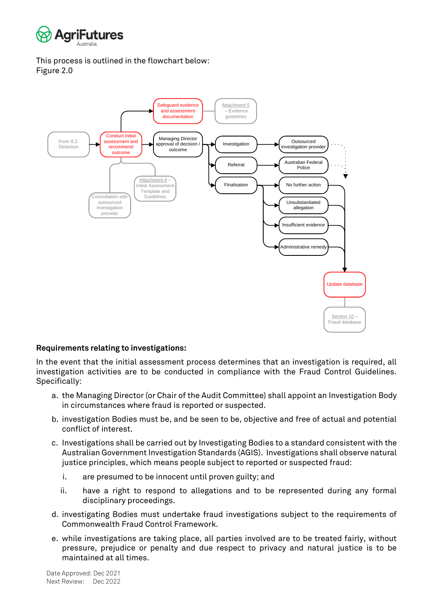

This process is outlined in the flowchart below: Figure 2.0



#### **Requirements relating to investigations:**

In the event that the initial assessment process determines that an investigation is required, all investigation activities are to be conducted in compliance with the Fraud Control Guidelines. Specifically:

- a. the Managing Director (or Chair of the Audit Committee) shall appoint an Investigation Body in circumstances where fraud is reported or suspected.
- b. investigation Bodies must be, and be seen to be, objective and free of actual and potential conflict of interest.
- c. Investigations shall be carried out by Investigating Bodies to a standard consistent with the Australian Government Investigation Standards (AGIS). Investigations shall observe natural justice principles, which means people subject to reported or suspected fraud:
	- i. are presumed to be innocent until proven guilty; and
	- ii. have a right to respond to allegations and to be represented during any formal disciplinary proceedings.
- d. investigating Bodies must undertake fraud investigations subject to the requirements of Commonwealth Fraud Control Framework.
- e. while investigations are taking place, all parties involved are to be treated fairly, without pressure, prejudice or penalty and due respect to privacy and natural justice is to be maintained at all times.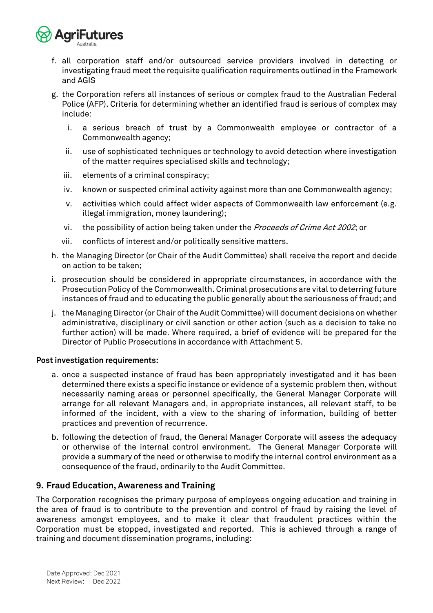

- f. all corporation staff and/or outsourced service providers involved in detecting or investigating fraud meet the requisite qualification requirements outlined in the Framework and AGIS
- g. the Corporation refers all instances of serious or complex fraud to the Australian Federal Police (AFP). Criteria for determining whether an identified fraud is serious of complex may include:
	- i. a serious breach of trust by a Commonwealth employee or contractor of a Commonwealth agency;
	- ii. use of sophisticated techniques or technology to avoid detection where investigation of the matter requires specialised skills and technology;
	- iii. elements of a criminal conspiracy;
	- iv. known or suspected criminal activity against more than one Commonwealth agency;
	- v. activities which could affect wider aspects of Commonwealth law enforcement (e.g. illegal immigration, money laundering);
	- vi. the possibility of action being taken under the *Proceeds of Crime Act 2002*; or
	- vii. conflicts of interest and/or politically sensitive matters.
- h. the Managing Director (or Chair of the Audit Committee) shall receive the report and decide on action to be taken;
- i. prosecution should be considered in appropriate circumstances, in accordance with the Prosecution Policy of the Commonwealth. Criminal prosecutions are vital to deterring future instances of fraud and to educating the public generally about the seriousness of fraud; and
- j. the Managing Director (or Chair of the Audit Committee) will document decisions on whether administrative, disciplinary or civil sanction or other action (such as a decision to take no further action) will be made. Where required, a brief of evidence will be prepared for the Director of Public Prosecutions in accordance with Attachment 5.

#### **Post investigation requirements:**

- a. once a suspected instance of fraud has been appropriately investigated and it has been determined there exists a specific instance or evidence of a systemic problem then, without necessarily naming areas or personnel specifically, the General Manager Corporate will arrange for all relevant Managers and, in appropriate instances, all relevant staff, to be informed of the incident, with a view to the sharing of information, building of better practices and prevention of recurrence.
- b. following the detection of fraud, the General Manager Corporate will assess the adequacy or otherwise of the internal control environment. The General Manager Corporate will provide a summary of the need or otherwise to modify the internal control environment as a consequence of the fraud, ordinarily to the Audit Committee.

#### <span id="page-13-0"></span>**9. Fraud Education, Awareness and Training**

The Corporation recognises the primary purpose of employees ongoing education and training in the area of fraud is to contribute to the prevention and control of fraud by raising the level of awareness amongst employees, and to make it clear that fraudulent practices within the Corporation must be stopped, investigated and reported. This is achieved through a range of training and document dissemination programs, including: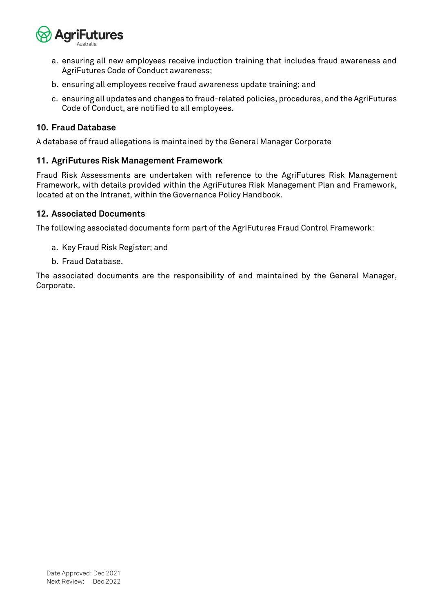

- a. ensuring all new employees receive induction training that includes fraud awareness and AgriFutures Code of Conduct awareness;
- b. ensuring all employees receive fraud awareness update training; and
- c. ensuring all updates and changes to fraud-related policies, procedures, and the AgriFutures Code of Conduct, are notified to all employees.

#### <span id="page-14-0"></span>**10. Fraud Database**

A database of fraud allegations is maintained by the General Manager Corporate

#### <span id="page-14-1"></span>**11. AgriFutures Risk Management Framework**

Fraud Risk Assessments are undertaken with reference to the AgriFutures Risk Management Framework, with details provided within the AgriFutures Risk Management Plan and Framework, located at on the Intranet, within the Governance Policy Handbook.

#### <span id="page-14-2"></span>**12. Associated Documents**

The following associated documents form part of the AgriFutures Fraud Control Framework:

- a. Key Fraud Risk Register; and
- b. Fraud Database.

The associated documents are the responsibility of and maintained by the General Manager, Corporate.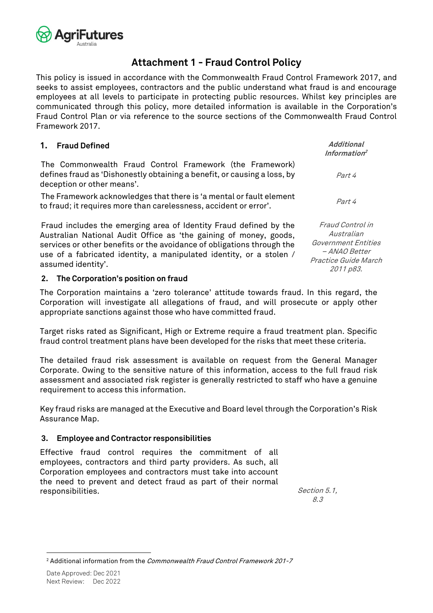

# **Attachment 1 - Fraud Control Policy**

<span id="page-15-0"></span>This policy is issued in accordance with the Commonwealth Fraud Control Framework 2017, and seeks to assist employees, contractors and the public understand what fraud is and encourage employees at all levels to participate in protecting public resources. Whilst key principles are communicated through this policy, more detailed information is available in the Corporation's Fraud Control Plan or via reference to the source sections of the Commonwealth Fraud Control Framework 2017.

| 1. Fraud Defined                                                                                                                                                                                                                                                                                              | <b>Additional</b><br>Information <sup>2</sup>                                                                      |
|---------------------------------------------------------------------------------------------------------------------------------------------------------------------------------------------------------------------------------------------------------------------------------------------------------------|--------------------------------------------------------------------------------------------------------------------|
| The Commonwealth Fraud Control Framework (the Framework)<br>defines fraud as 'Dishonestly obtaining a benefit, or causing a loss, by<br>deception or other means'.                                                                                                                                            | Part 4                                                                                                             |
| The Framework acknowledges that there is 'a mental or fault element<br>to fraud; it requires more than carelessness, accident or error'.                                                                                                                                                                      | Part 4                                                                                                             |
| Fraud includes the emerging area of Identity Fraud defined by the<br>Australian National Audit Office as 'the gaining of money, goods,<br>services or other benefits or the avoidance of obligations through the<br>use of a fabricated identity, a manipulated identity, or a stolen /<br>assumed identity'. | Fraud Control in<br>Australian<br>Government Entities<br><i>- ANAO Better</i><br>Practice Guide March<br>2011 p83. |

#### **2. The Corporation's position on fraud**

The Corporation maintains a 'zero tolerance' attitude towards fraud. In this regard, the Corporation will investigate all allegations of fraud, and will prosecute or apply other appropriate sanctions against those who have committed fraud.

Target risks rated as Significant, High or Extreme require a fraud treatment plan. Specific fraud control treatment plans have been developed for the risks that meet these criteria.

The detailed fraud risk assessment is available on request from the General Manager Corporate. Owing to the sensitive nature of this information, access to the full fraud risk assessment and associated risk register is generally restricted to staff who have a genuine requirement to access this information.

Key fraud risks are managed at the Executive and Board level through the Corporation's Risk Assurance Map.

#### **3. Employee and Contractor responsibilities**

Effective fraud control requires the commitment of all employees, contractors and third party providers. As such, all Corporation employees and contractors must take into account the need to prevent and detect fraud as part of their normal responsibilities. Section 5.1, Section 5.1,

8.3

<sup>&</sup>lt;sup>2</sup> Additional information from the *Commonwealth Fraud Control Framework 201-7*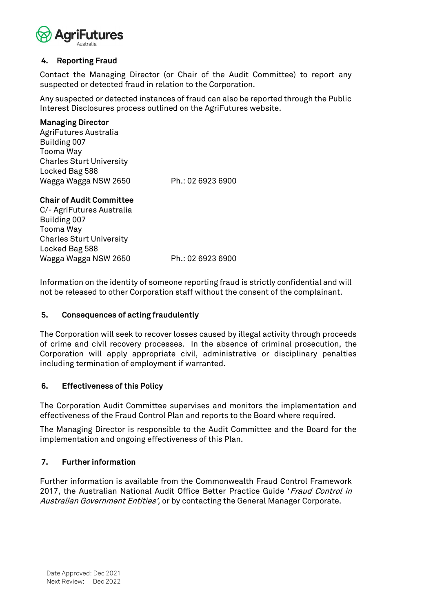

#### **4. Reporting Fraud**

Contact the Managing Director (or Chair of the Audit Committee) to report any suspected or detected fraud in relation to the Corporation.

Any suspected or detected instances of fraud can also be reported through the Public Interest Disclosures process outlined on the AgriFutures website.

#### **Managing Director**

AgriFutures Australia Building 007 Tooma Way Charles Sturt University Locked Bag 588 Wagga Wagga NSW 2650 Ph.: 02 6923 6900

#### **Chair of Audit Committee**

C/- AgriFutures Australia Building 007 Tooma Way Charles Sturt University Locked Bag 588 Wagga Wagga NSW 2650 Ph.: 02 6923 6900

Information on the identity of someone reporting fraud is strictly confidential and will not be released to other Corporation staff without the consent of the complainant.

#### **5. Consequences of acting fraudulently**

The Corporation will seek to recover losses caused by illegal activity through proceeds of crime and civil recovery processes. In the absence of criminal prosecution, the Corporation will apply appropriate civil, administrative or disciplinary penalties including termination of employment if warranted.

#### **6. Effectiveness of this Policy**

The Corporation Audit Committee supervises and monitors the implementation and effectiveness of the Fraud Control Plan and reports to the Board where required.

The Managing Director is responsible to the Audit Committee and the Board for the implementation and ongoing effectiveness of this Plan.

#### **7. Further information**

Further information is available from the Commonwealth Fraud Control Framework 2017, the Australian National Audit Office Better Practice Guide 'Fraud Control in Australian Government Entities', or by contacting the General Manager Corporate.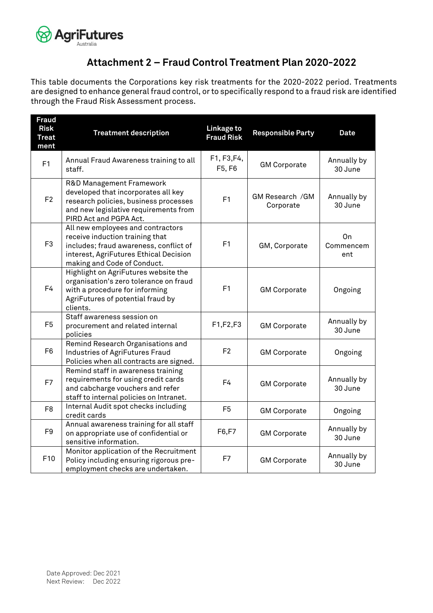

# **Attachment 2 – Fraud Control Treatment Plan 2020-2022**

<span id="page-17-0"></span>This table documents the Corporations key risk treatments for the 2020-2022 period. Treatments are designed to enhance general fraud control, or to specifically respond to a fraud risk are identified through the Fraud Risk Assessment process.

| <b>Fraud</b><br><b>Risk</b><br><b>Treat</b><br>ment | <b>Treatment description</b>                                                                                                                                                            | Linkage to<br><b>Fraud Risk</b> | <b>Responsible Party</b>     | <b>Date</b>            |
|-----------------------------------------------------|-----------------------------------------------------------------------------------------------------------------------------------------------------------------------------------------|---------------------------------|------------------------------|------------------------|
| F <sub>1</sub>                                      | Annual Fraud Awareness training to all<br>staff.                                                                                                                                        | F1, F3, F4,<br>F5, F6           | <b>GM Corporate</b>          | Annually by<br>30 June |
| F <sub>2</sub>                                      | R&D Management Framework<br>developed that incorporates all key<br>research policies, business processes<br>and new legislative requirements from<br>PIRD Act and PGPA Act.             | F <sub>1</sub>                  | GM Research /GM<br>Corporate | Annually by<br>30 June |
| F <sub>3</sub>                                      | All new employees and contractors<br>receive induction training that<br>includes; fraud awareness, conflict of<br>interest, AgriFutures Ethical Decision<br>making and Code of Conduct. | F1                              | GM, Corporate                | On<br>Commencem<br>ent |
| F <sub>4</sub>                                      | Highlight on AgriFutures website the<br>organisation's zero tolerance on fraud<br>with a procedure for informing<br>AgriFutures of potential fraud by<br>clients.                       | F1                              | <b>GM Corporate</b>          | Ongoing                |
| F <sub>5</sub>                                      | Staff awareness session on<br>procurement and related internal<br>policies                                                                                                              | F1,F2,F3                        | <b>GM Corporate</b>          | Annually by<br>30 June |
| F <sub>6</sub>                                      | Remind Research Organisations and<br>Industries of AgriFutures Fraud<br>Policies when all contracts are signed.                                                                         | F <sub>2</sub>                  | <b>GM Corporate</b>          | Ongoing                |
| F7                                                  | Remind staff in awareness training<br>requirements for using credit cards<br>and cabcharge vouchers and refer<br>staff to internal policies on Intranet.                                | F4                              | <b>GM Corporate</b>          | Annually by<br>30 June |
| F <sub>8</sub>                                      | Internal Audit spot checks including<br>credit cards                                                                                                                                    | F <sub>5</sub>                  | <b>GM Corporate</b>          | Ongoing                |
| F9                                                  | Annual awareness training for all staff<br>on appropriate use of confidential or<br>sensitive information.                                                                              | F6,F7                           | <b>GM Corporate</b>          | Annually by<br>30 June |
| F10                                                 | Monitor application of the Recruitment<br>Policy including ensuring rigorous pre-<br>employment checks are undertaken.                                                                  | F7                              | <b>GM Corporate</b>          | Annually by<br>30 June |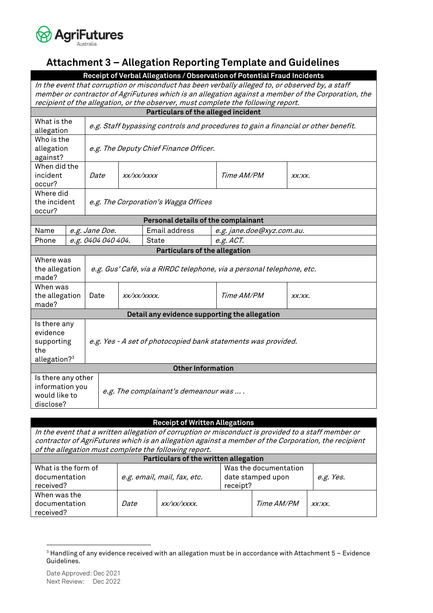

# <span id="page-18-0"></span>**Attachment 3 – Allegation Reporting Template and Guidelines**

**Receipt of Verbal Allegations / Observation of Potential Fraud Incidents**

In the event that corruption or misconduct has been verbally alleged to, or observed by, a staff member or contractor of AgriFutures which is an allegation against a member of the Corporation, the recipient of the allegation, or the observer, must complete the following report.

|                                                                           | Particulars of the alleged incident |                                                                                    |                                     |                                               |                           |        |
|---------------------------------------------------------------------------|-------------------------------------|------------------------------------------------------------------------------------|-------------------------------------|-----------------------------------------------|---------------------------|--------|
| What is the<br>allegation                                                 |                                     | e.g. Staff bypassing controls and procedures to gain a financial or other benefit. |                                     |                                               |                           |        |
| Who is the<br>allegation<br>against?                                      |                                     | e.g. The Deputy Chief Finance Officer.                                             |                                     |                                               |                           |        |
| When did the<br>incident<br>occur?                                        |                                     | Date                                                                               | XX/XX/XXXX                          |                                               | Time AM/PM                | XX:XX. |
| Where did<br>the incident<br>occur?                                       |                                     |                                                                                    |                                     | e.g. The Corporation's Wagga Offices          |                           |        |
|                                                                           |                                     |                                                                                    |                                     | Personal details of the complainant           |                           |        |
| Name                                                                      |                                     | e.g. Jane Doe.                                                                     |                                     | Email address                                 | e.g. jane.doe@xyz.com.au. |        |
| Phone                                                                     |                                     | e.g. 0404 040 404.                                                                 |                                     | State                                         | e.g. ACT.                 |        |
|                                                                           |                                     |                                                                                    |                                     | <b>Particulars of the allegation</b>          |                           |        |
| Where was<br>the allegation<br>made?                                      |                                     | e.g. Gus' Café, via a RIRDC telephone, via a personal telephone, etc.              |                                     |                                               |                           |        |
| When was<br>the allegation<br>made?                                       |                                     | Date                                                                               | Time AM/PM<br>XX/XX/XXXX.<br>XX:XX. |                                               |                           |        |
|                                                                           |                                     |                                                                                    |                                     | Detail any evidence supporting the allegation |                           |        |
| Is there any<br>evidence<br>supporting<br>the<br>allegation? <sup>3</sup> |                                     | e.g. Yes - A set of photocopied bank statements was provided.                      |                                     |                                               |                           |        |
|                                                                           |                                     |                                                                                    |                                     | <b>Other Information</b>                      |                           |        |
| Is there any other<br>information you<br>would like to<br>disclose?       |                                     |                                                                                    |                                     | e.g. The complainant's demeanour was  .       |                           |        |

| <b>Receipt of Written Allegations</b>                                                               |                             |  |                       |                   |           |
|-----------------------------------------------------------------------------------------------------|-----------------------------|--|-----------------------|-------------------|-----------|
| In the event that a written allegation of corruption or misconduct is provided to a staff member or |                             |  |                       |                   |           |
| contractor of AgriFutures which is an allegation against a member of the Corporation, the recipient |                             |  |                       |                   |           |
| of the allegation must complete the following report.                                               |                             |  |                       |                   |           |
| Particulars of the written allegation                                                               |                             |  |                       |                   |           |
| What is the form of                                                                                 |                             |  | Was the documentation |                   |           |
| documentation                                                                                       | e.g. email, mail, fax, etc. |  | date stamped upon     |                   | e.g. Yes. |
| received?                                                                                           |                             |  | receipt?              |                   |           |
| When was the                                                                                        |                             |  |                       |                   |           |
| documentation                                                                                       | <i>Date</i><br>xx/xx/xxxx.  |  |                       | <i>Time AM/PM</i> | XX:XX.    |
| received?                                                                                           |                             |  |                       |                   |           |
|                                                                                                     |                             |  |                       |                   |           |

<sup>3</sup> Handling of any evidence received with an allegation must be in accordance with Attachment 5 – Evidence Guidelines.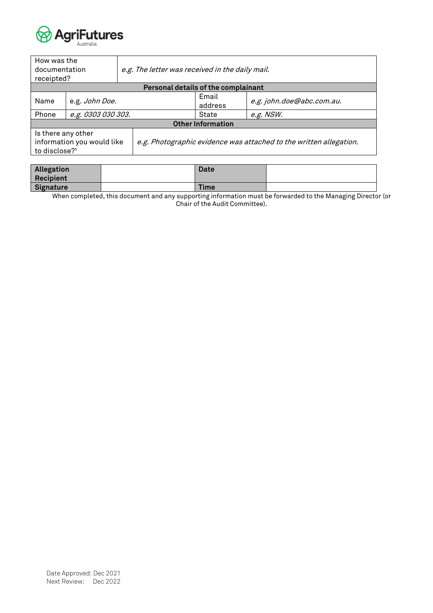

| How was the<br>documentation<br>receipted?                                    |                    | e.g. The letter was received in the daily mail. |                                     |                                                                    |
|-------------------------------------------------------------------------------|--------------------|-------------------------------------------------|-------------------------------------|--------------------------------------------------------------------|
|                                                                               |                    |                                                 | Personal details of the complainant |                                                                    |
| Name                                                                          | e.g. John Doe.     |                                                 | Email<br>address                    | e.g. john.doe@abc.com.au.                                          |
| Phone                                                                         | e.g. 0303 030 303. |                                                 | State                               | e.g. NSW.                                                          |
|                                                                               |                    |                                                 | <b>Other Information</b>            |                                                                    |
| Is there any other<br>information you would like<br>to disclose? <sup>1</sup> |                    |                                                 |                                     | e.g. Photographic evidence was attached to the written allegation. |

| Allegation<br>Recipient | Date        |  |
|-------------------------|-------------|--|
| Signature               | <b>Time</b> |  |

When completed, this document and any supporting information must be forwarded to the Managing Director (or Chair of the Audit Committee).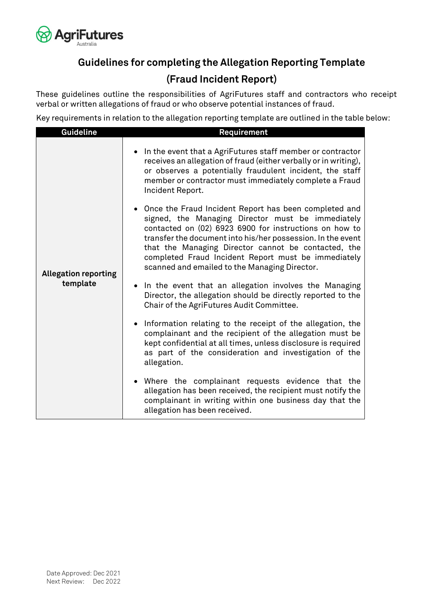

# **Guidelines for completing the Allegation Reporting Template (Fraud Incident Report)**

These guidelines outline the responsibilities of AgriFutures staff and contractors who receipt verbal or written allegations of fraud or who observe potential instances of fraud.

Key requirements in relation to the allegation reporting template are outlined in the table below:

| <b>Guideline</b>            | Requirement                                                                                                                                                                                                                                                                                                                                                                                          |
|-----------------------------|------------------------------------------------------------------------------------------------------------------------------------------------------------------------------------------------------------------------------------------------------------------------------------------------------------------------------------------------------------------------------------------------------|
|                             | In the event that a AgriFutures staff member or contractor<br>$\bullet$<br>receives an allegation of fraud (either verbally or in writing),<br>or observes a potentially fraudulent incident, the staff<br>member or contractor must immediately complete a Fraud<br>Incident Report.                                                                                                                |
| <b>Allegation reporting</b> | • Once the Fraud Incident Report has been completed and<br>signed, the Managing Director must be immediately<br>contacted on (02) 6923 6900 for instructions on how to<br>transfer the document into his/her possession. In the event<br>that the Managing Director cannot be contacted, the<br>completed Fraud Incident Report must be immediately<br>scanned and emailed to the Managing Director. |
| template                    | • In the event that an allegation involves the Managing<br>Director, the allegation should be directly reported to the<br>Chair of the AgriFutures Audit Committee.                                                                                                                                                                                                                                  |
|                             | Information relating to the receipt of the allegation, the<br>$\bullet$<br>complainant and the recipient of the allegation must be<br>kept confidential at all times, unless disclosure is required<br>as part of the consideration and investigation of the<br>allegation.                                                                                                                          |
|                             | • Where the complainant requests evidence that the<br>allegation has been received, the recipient must notify the<br>complainant in writing within one business day that the<br>allegation has been received.                                                                                                                                                                                        |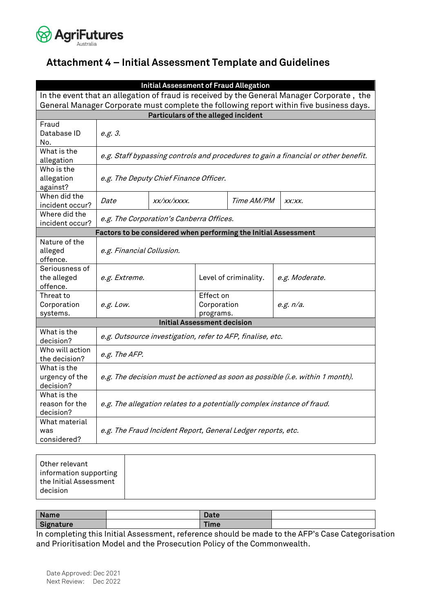

# <span id="page-21-0"></span>**Attachment 4 – Initial Assessment Template and Guidelines**

|                                                                                            | <b>Initial Assessment of Fraud Allegation</b>                                      |             |                       |            |                |
|--------------------------------------------------------------------------------------------|------------------------------------------------------------------------------------|-------------|-----------------------|------------|----------------|
| In the event that an allegation of fraud is received by the General Manager Corporate, the |                                                                                    |             |                       |            |                |
| General Manager Corporate must complete the following report within five business days.    |                                                                                    |             |                       |            |                |
| Particulars of the alleged incident                                                        |                                                                                    |             |                       |            |                |
| Fraud                                                                                      |                                                                                    |             |                       |            |                |
| Database ID                                                                                | e.g. 3.                                                                            |             |                       |            |                |
| No.                                                                                        |                                                                                    |             |                       |            |                |
| What is the<br>allegation                                                                  | e.g. Staff bypassing controls and procedures to gain a financial or other benefit. |             |                       |            |                |
| Who is the                                                                                 |                                                                                    |             |                       |            |                |
| allegation                                                                                 | e.g. The Deputy Chief Finance Officer.                                             |             |                       |            |                |
| against?                                                                                   |                                                                                    |             |                       |            |                |
| When did the<br>incident occur?                                                            | <i>Date</i>                                                                        | XX/XX/XXXX. |                       | Time AM/PM | XXXXX.         |
| Where did the                                                                              |                                                                                    |             |                       |            |                |
| incident occur?                                                                            | e.g. The Corporation's Canberra Offices.                                           |             |                       |            |                |
|                                                                                            | Factors to be considered when performing the Initial Assessment                    |             |                       |            |                |
| Nature of the                                                                              |                                                                                    |             |                       |            |                |
| alleged<br>offence.                                                                        | e.g. Financial Collusion.                                                          |             |                       |            |                |
| Seriousness of                                                                             |                                                                                    |             |                       |            |                |
| the alleged                                                                                | e.g. Extreme.                                                                      |             | Level of criminality. |            | e.g. Moderate. |
| offence.                                                                                   |                                                                                    |             |                       |            |                |
| Threat to                                                                                  |                                                                                    |             | Effect on             |            |                |
| Corporation                                                                                | e.g. Low.                                                                          |             | Corporation           |            | e.g. $n/a$ .   |
| systems.                                                                                   |                                                                                    |             | programs.             |            |                |
| <b>Initial Assessment decision</b>                                                         |                                                                                    |             |                       |            |                |
| What is the<br>decision?                                                                   | e.g. Outsource investigation, refer to AFP, finalise, etc.                         |             |                       |            |                |
| Who will action<br>the decision?                                                           | e.g. The AFP.                                                                      |             |                       |            |                |
| What is the                                                                                |                                                                                    |             |                       |            |                |
| urgency of the                                                                             | e.g. The decision must be actioned as soon as possible (i.e. within 1 month).      |             |                       |            |                |
| decision?                                                                                  |                                                                                    |             |                       |            |                |
| What is the                                                                                |                                                                                    |             |                       |            |                |
| reason for the                                                                             | e.g. The allegation relates to a potentially complex instance of fraud.            |             |                       |            |                |
| decision?                                                                                  |                                                                                    |             |                       |            |                |
| What material                                                                              |                                                                                    |             |                       |            |                |
| was                                                                                        | e.g. The Fraud Incident Report, General Ledger reports, etc.                       |             |                       |            |                |
| considered?                                                                                |                                                                                    |             |                       |            |                |

| Other relevant<br>information supporting<br>the Initial Assessment |
|--------------------------------------------------------------------|
| decision                                                           |

| <b>Name</b> | <b>Date</b> |  |
|-------------|-------------|--|
| Signature   | <b>Time</b> |  |

In completing this Initial Assessment, reference should be made to the AFP's Case Categorisation and Prioritisation Model and the Prosecution Policy of the Commonwealth.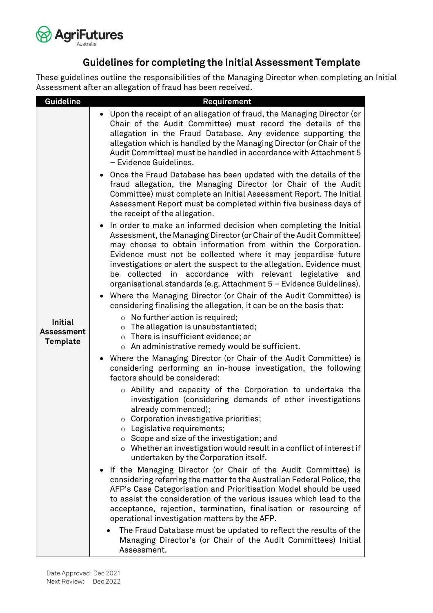

# **Guidelines for completing the Initial Assessment Template**

These guidelines outline the responsibilities of the Managing Director when completing an Initial Assessment after an allegation of fraud has been received.

| <b>Guideline</b>                                       | Requirement                                                                                                                                                                                                                                                                                                                                                                                                                                                                                 |
|--------------------------------------------------------|---------------------------------------------------------------------------------------------------------------------------------------------------------------------------------------------------------------------------------------------------------------------------------------------------------------------------------------------------------------------------------------------------------------------------------------------------------------------------------------------|
|                                                        | Upon the receipt of an allegation of fraud, the Managing Director (or<br>Chair of the Audit Committee) must record the details of the<br>allegation in the Fraud Database. Any evidence supporting the<br>allegation which is handled by the Managing Director (or Chair of the<br>Audit Committee) must be handled in accordance with Attachment 5<br>- Evidence Guidelines.                                                                                                               |
|                                                        | • Once the Fraud Database has been updated with the details of the<br>fraud allegation, the Managing Director (or Chair of the Audit<br>Committee) must complete an Initial Assessment Report. The Initial<br>Assessment Report must be completed within five business days of<br>the receipt of the allegation.                                                                                                                                                                            |
|                                                        | In order to make an informed decision when completing the Initial<br>Assessment, the Managing Director (or Chair of the Audit Committee)<br>may choose to obtain information from within the Corporation.<br>Evidence must not be collected where it may jeopardise future<br>investigations or alert the suspect to the allegation. Evidence must<br>collected in accordance with relevant legislative<br>be<br>and<br>organisational standards (e.g. Attachment 5 - Evidence Guidelines). |
|                                                        | Where the Managing Director (or Chair of the Audit Committee) is<br>considering finalising the allegation, it can be on the basis that:                                                                                                                                                                                                                                                                                                                                                     |
| <b>Initial</b><br><b>Assessment</b><br><b>Template</b> | $\circ$ No further action is required;<br>$\circ$ The allegation is unsubstantiated;<br>$\circ$ There is insufficient evidence; or<br>o An administrative remedy would be sufficient.                                                                                                                                                                                                                                                                                                       |
|                                                        | • Where the Managing Director (or Chair of the Audit Committee) is<br>considering performing an in-house investigation, the following<br>factors should be considered:                                                                                                                                                                                                                                                                                                                      |
|                                                        | $\circ$ Ability and capacity of the Corporation to undertake the<br>investigation (considering demands of other investigations<br>already commenced);<br>$\circ$ Corporation investigative priorities;                                                                                                                                                                                                                                                                                      |
|                                                        | o Legislative requirements;<br>$\circ$ Scope and size of the investigation; and<br>$\circ$ Whether an investigation would result in a conflict of interest if<br>undertaken by the Corporation itself.                                                                                                                                                                                                                                                                                      |
|                                                        | If the Managing Director (or Chair of the Audit Committee) is<br>considering referring the matter to the Australian Federal Police, the<br>AFP's Case Categorisation and Prioritisation Model should be used<br>to assist the consideration of the various issues which lead to the<br>acceptance, rejection, termination, finalisation or resourcing of<br>operational investigation matters by the AFP.                                                                                   |
|                                                        | The Fraud Database must be updated to reflect the results of the<br>Managing Director's (or Chair of the Audit Committees) Initial<br>Assessment.                                                                                                                                                                                                                                                                                                                                           |